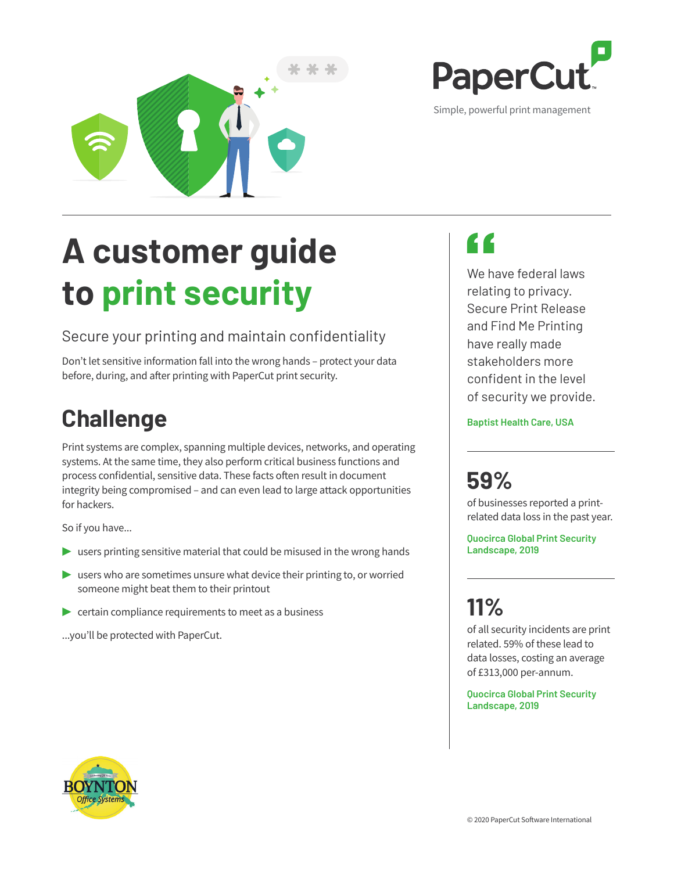

# **A customer guide to print security**

### Secure your printing and maintain confidentiality

Don't let sensitive information fall into the wrong hands – protect your data before, during, and after printing with PaperCut print security.

### **Challenge**

Print systems are complex, spanning multiple devices, networks, and operating systems. At the same time, they also perform critical business functions and process confidential, sensitive data. These facts often result in document integrity being compromised – and can even lead to large attack opportunities for hackers.

So if you have...

- **▶** users printing sensitive material that could be misused in the wrong hands
- **▶** users who are sometimes unsure what device their printing to, or worried someone might beat them to their printout
- **▶ certain compliance requirements to meet as a business**

...you'll be protected with PaperCut.



Simple, powerful print management

PaperCu

We have federal laws relating to privacy. Secure Print Release and Find Me Printing have really made stakeholders more confident in the level of security we provide.

**Baptist Health Care, USA**

## **59%**

of businesses reported a printrelated data loss in the past year.

**Quocirca Global Print Security Landscape, 2019**

# **11%**

of all security incidents are print related. 59% of these lead to data losses, costing an average of £313,000 per-annum.

**Quocirca Global Print Security Landscape, 2019**